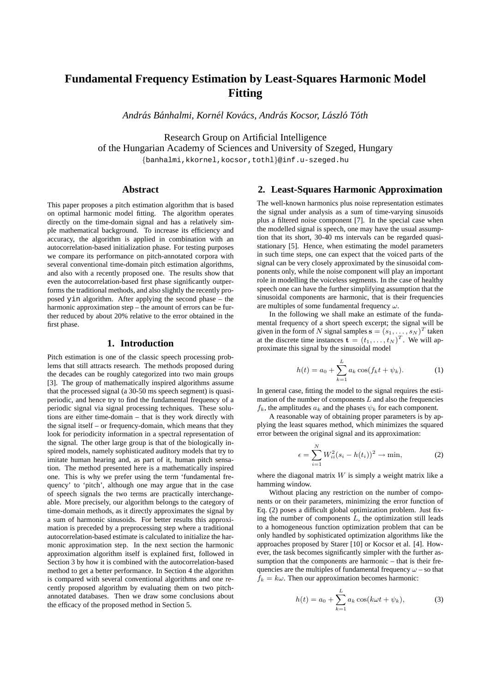# **Fundamental Frequency Estimation by Least-Squares Harmonic Model Fitting**

*Andras B ´ anhalmi, Korn ´ el Kov ´ acs, Andr ´ as Kocsor, L ´ aszl ´ o T´ oth ´*

Research Group on Artificial Intelligence of the Hungarian Academy of Sciences and University of Szeged, Hungary {banhalmi,kkornel,kocsor,tothl}@inf.u-szeged.hu

# **Abstract**

This paper proposes a pitch estimation algorithm that is based on optimal harmonic model fitting. The algorithm operates directly on the time-domain signal and has a relatively simple mathematical background. To increase its efficiency and accuracy, the algorithm is applied in combination with an autocorrelation-based initialization phase. For testing purposes we compare its performance on pitch-annotated corpora with several conventional time-domain pitch estimation algorithms, and also with a recently proposed one. The results show that even the autocorrelation-based first phase significantly outperforms the traditional methods, and also slightly the recently proposed yin algorithm. After applying the second phase – the harmonic approximation step – the amount of errors can be further reduced by about 20% relative to the error obtained in the first phase.

#### **1. Introduction**

Pitch estimation is one of the classic speech processing problems that still attracts research. The methods proposed during the decades can be roughly categorized into two main groups [3]. The group of mathematically inspired algorithms assume that the processed signal (a 30-50 ms speech segment) is quasiperiodic, and hence try to find the fundamental frequency of a periodic signal via signal processing techniques. These solutions are either time-domain – that is they work directly with the signal itself – or frequency-domain, which means that they look for periodicity information in a spectral representation of the signal. The other large group is that of the biologically inspired models, namely sophisticated auditory models that try to imitate human hearing and, as part of it, human pitch sensation. The method presented here is a mathematically inspired one. This is why we prefer using the term 'fundamental frequency' to 'pitch', although one may argue that in the case of speech signals the two terms are practically interchangeable. More precisely, our algorithm belongs to the category of time-domain methods, as it directly approximates the signal by a sum of harmonic sinusoids. For better results this approximation is preceded by a preprocessing step where a traditional autocorrelation-based estimate is calculated to initialize the harmonic approximation step. In the next section the harmonic approximation algorithm itself is explained first, followed in Section 3 by how it is combined with the autocorrelation-based method to get a better performance. In Section 4 the algorithm is compared with several conventional algorithms and one recently proposed algorithm by evaluating them on two pitchannotated databases. Then we draw some conclusions about the efficacy of the proposed method in Section 5.

# **2. Least-Squares Harmonic Approximation**

The well-known harmonics plus noise representation estimates the signal under analysis as a sum of time-varying sinusoids plus a filtered noise component [7]. In the special case when the modelled signal is speech, one may have the usual assumption that its short, 30-40 ms intervals can be regarded quasistationary [5]. Hence, when estimating the model parameters in such time steps, one can expect that the voiced parts of the signal can be very closely approximated by the sinusoidal components only, while the noise component will play an important role in modelling the voiceless segments. In the case of healthy speech one can have the further simplifying assumption that the sinusoidal components are harmonic, that is their frequencies are multiples of some fundamental frequency  $\omega$ .

In the following we shall make an estimate of the fundamental frequency of a short speech excerpt; the signal will be given in the form of N signal samples  $\mathbf{s} = (s_1, \dots, s_N)^T$  taken at the discrete time instances  $\mathbf{t} = (t_1, \dots, t_N)^T$ . We will approximate this signal by the sinusoidal model

$$
h(t) = a_0 + \sum_{k=1}^{L} a_k \cos(f_k t + \psi_k).
$$
 (1)

In general case, fitting the model to the signal requires the estimation of the number of components  $L$  and also the frequencies  $f_k$ , the amplitudes  $a_k$  and the phases  $\psi_k$  for each component.

A reasonable way of obtaining proper parameters is by applying the least squares method, which minimizes the squared error between the original signal and its approximation:

$$
\epsilon = \sum_{i=1}^{N} W_{ii}^2 (s_i - h(t_i))^2 \to \min,
$$
 (2)

where the diagonal matrix  $W$  is simply a weight matrix like a hamming window.

Without placing any restriction on the number of components or on their parameters, minimizing the error function of Eq. (2) poses a difficult global optimization problem. Just fixing the number of components  $L$ , the optimization still leads to a homogeneous function optimization problem that can be only handled by sophisticated optimization algorithms like the approaches proposed by Starer [10] or Kocsor et al. [4]. However, the task becomes significantly simpler with the further assumption that the components are harmonic – that is their frequencies are the multiples of fundamental frequency  $\omega$  – so that  $f_k = k\omega$ . Then our approximation becomes harmonic:

$$
h(t) = a_0 + \sum_{k=1}^{L} a_k \cos(k\omega t + \psi_k),
$$
 (3)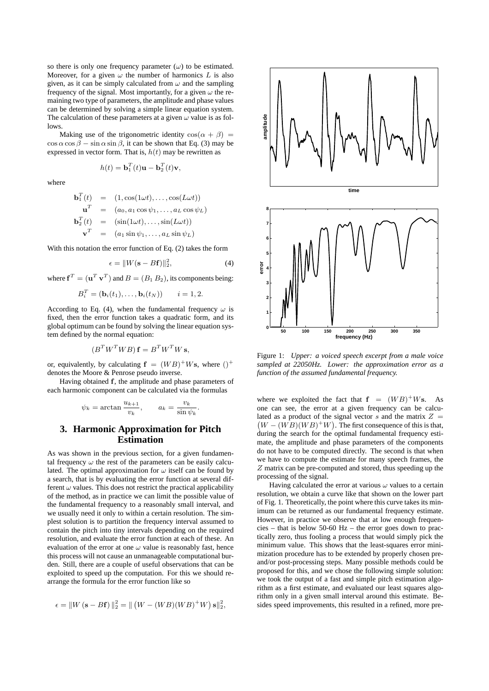so there is only one frequency parameter  $(\omega)$  to be estimated. Moreover, for a given  $\omega$  the number of harmonics L is also given, as it can be simply calculated from  $\omega$  and the sampling frequency of the signal. Most importantly, for a given  $\omega$  the remaining two type of parameters, the amplitude and phase values can be determined by solving a simple linear equation system. The calculation of these parameters at a given  $\omega$  value is as follows.

Making use of the trigonometric identity  $cos(\alpha + \beta)$  =  $\cos \alpha \cos \beta - \sin \alpha \sin \beta$ , it can be shown that Eq. (3) may be expressed in vector form. That is,  $h(t)$  may be rewritten as

$$
h(t) = \mathbf{b}_1^T(t)\mathbf{u} - \mathbf{b}_2^T(t)\mathbf{v},
$$

where

$$
\mathbf{b}_1^T(t) = (1, \cos(1\omega t), \dots, \cos(L\omega t))
$$

$$
\mathbf{u}^T = (a_0, a_1 \cos \psi_1, \dots, a_L \cos \psi_L)
$$

$$
\mathbf{b}_2^T(t) = (\sin(1\omega t), \dots, \sin(L\omega t))
$$

$$
\mathbf{v}^T = (a_1 \sin \psi_1, \dots, a_L \sin \psi_L)
$$

With this notation the error function of Eq. (2) takes the form

$$
\epsilon = \|W(\mathbf{s} - B\mathbf{f})\|_2^2,\tag{4}
$$

.

where  $f^T = (\mathbf{u}^T \mathbf{v}^T)$  and  $B = (B_1 B_2)$ , its components being:

$$
B_i^T = (\mathbf{b}_i(t_1), \dots, \mathbf{b}_i(t_N)) \qquad i = 1, 2.
$$

According to Eq. (4), when the fundamental frequency  $\omega$  is fixed, then the error function takes a quadratic form, and its global optimum can be found by solving the linear equation system defined by the normal equation:

$$
(B^T W^T W B) \mathbf{f} = B^T W^T W \mathbf{s},
$$

or, equivalently, by calculating  $f = (WB)^+Ws$ , where  $()^+$ denotes the Moore & Penrose pseudo inverse.

Having obtained f, the amplitude and phase parameters of each harmonic component can be calculated via the formulas

$$
\psi_k = \arctan \frac{u_{k+1}}{v_k}, \qquad a_k = \frac{v_k}{\sin \psi_k}
$$

# **3. Harmonic Approximation for Pitch Estimation**

As was shown in the previous section, for a given fundamental frequency  $\omega$  the rest of the parameters can be easily calculated. The optimal approximation for  $\omega$  itself can be found by a search, that is by evaluating the error function at several different  $\omega$  values. This does not restrict the practical applicability of the method, as in practice we can limit the possible value of the fundamental frequency to a reasonably small interval, and we usually need it only to within a certain resolution. The simplest solution is to partition the frequency interval assumed to contain the pitch into tiny intervals depending on the required resolution, and evaluate the error function at each of these. An evaluation of the error at one  $\omega$  value is reasonably fast, hence this process will not cause an unmanageable computational burden. Still, there are a couple of useful observations that can be exploited to speed up the computation. For this we should rearrange the formula for the error function like so

$$
\epsilon = ||W(\mathbf{s} - B\mathbf{f})||_2^2 = ||(W - (WB)(WB)^+W)\mathbf{s}||_2^2,
$$



Figure 1: *Upper: a voiced speech excerpt from a male voice sampled at 22050Hz. Lower: the approximation error as a function of the assumed fundamental frequency.*

where we exploited the fact that  $f = (WB)^+Ws$ . As one can see, the error at a given frequency can be calculated as a product of the signal vector  $s$  and the matrix  $Z =$  $(W - (WB)(WB)^+W)$ . The first consequence of this is that, during the search for the optimal fundamental frequency estimate, the amplitude and phase parameters of the components do not have to be computed directly. The second is that when we have to compute the estimate for many speech frames, the Z matrix can be pre-computed and stored, thus speeding up the processing of the signal.

Having calculated the error at various  $\omega$  values to a certain resolution, we obtain a curve like that shown on the lower part of Fig. 1. Theoretically, the point where this curve takes its minimum can be returned as our fundamental frequency estimate. However, in practice we observe that at low enough frequencies – that is below 50-60 Hz – the error goes down to practically zero, thus fooling a process that would simply pick the minimum value. This shows that the least-squares error minimization procedure has to be extended by properly chosen preand/or post-processing steps. Many possible methods could be proposed for this, and we chose the following simple solution: we took the output of a fast and simple pitch estimation algorithm as a first estimate, and evaluated our least squares algorithm only in a given small interval around this estimate. Besides speed improvements, this resulted in a refined, more pre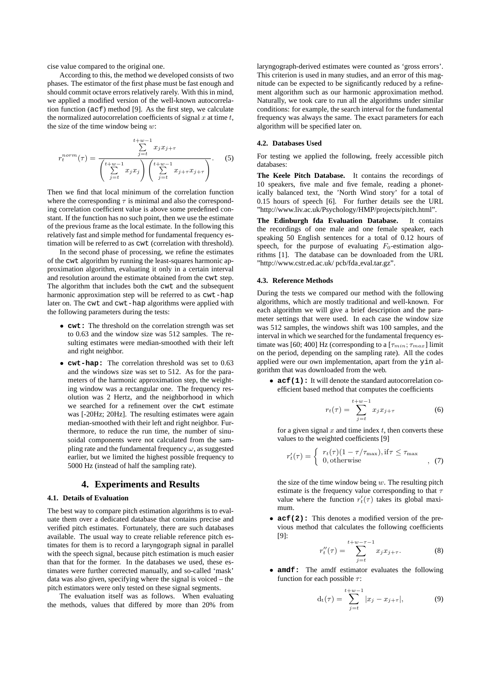cise value compared to the original one.

According to this, the method we developed consists of two phases. The estimator of the first phase must be fast enough and should commit octave errors relatively rarely. With this in mind, we applied a modified version of the well-known autocorrelation function (acf) method [9]. As the first step, we calculate the normalized autocorrelation coefficients of signal  $x$  at time  $t$ , the size of the time window being  $w$ :

$$
r_t^{norm}(\tau) = \frac{\sum_{j=t}^{t+w-1} x_j x_{j+\tau}}{\left(\sum_{j=t}^{t+w-1} x_j x_j\right) \left(\sum_{j=t}^{t+w-1} x_{j+\tau} x_{j+\tau}\right)}.
$$
 (5)

Then we find that local minimum of the correlation function where the corresponding  $\tau$  is minimal and also the corresponding correlation coefficient value is above some predefined constant. If the function has no such point, then we use the estimate of the previous frame as the local estimate. In the following this relatively fast and simple method for fundamental frequency estimation will be referred to as cwt (correlation with threshold).

In the second phase of processing, we refine the estimates of the cwt algorithm by running the least-squares harmonic approximation algorithm, evaluating it only in a certain interval and resolution around the estimate obtained from the cwt step. The algorithm that includes both the cwt and the subsequent harmonic approximation step will be referred to as  $\text{cut-hap}$ later on. The cwt and cwt-hap algorithms were applied with the following parameters during the tests:

- **cwt:** The threshold on the correlation strength was set to 0.63 and the window size was 512 samples. The resulting estimates were median-smoothed with their left and right neighbor.
- **cwt-hap:** The correlation threshold was set to 0.63 and the windows size was set to 512. As for the parameters of the harmonic approximation step, the weighting window was a rectangular one. The frequency resolution was 2 Hertz, and the neighborhood in which we searched for a refinement over the cwt estimate was [-20Hz; 20Hz]. The resulting estimates were again median-smoothed with their left and right neighbor. Furthermore, to reduce the run time, the number of sinusoidal components were not calculated from the sampling rate and the fundamental frequency  $\omega$ , as suggested earlier, but we limited the highest possible frequency to 5000 Hz (instead of half the sampling rate).

### **4. Experiments and Results**

#### **4.1. Details of Evaluation**

The best way to compare pitch estimation algorithms is to evaluate them over a dedicated database that contains precise and verified pitch estimates. Fortunately, there are such databases available. The usual way to create reliable reference pitch estimates for them is to record a laryngograph signal in parallel with the speech signal, because pitch estimation is much easier than that for the former. In the databases we used, these estimates were further corrected manually, and so-called 'mask' data was also given, specifying where the signal is voiced – the pitch estimators were only tested on these signal segments.

The evaluation itself was as follows. When evaluating the methods, values that differed by more than 20% from laryngograph-derived estimates were counted as 'gross errors'. This criterion is used in many studies, and an error of this magnitude can be expected to be significantly reduced by a refinement algorithm such as our harmonic approximation method. Naturally, we took care to run all the algorithms under similar conditions: for example, the search interval for the fundamental frequency was always the same. The exact parameters for each algorithm will be specified later on.

#### **4.2. Databases Used**

For testing we applied the following, freely accessible pitch databases:

**The Keele Pitch Database.** It contains the recordings of 10 speakers, five male and five female, reading a phonetically balanced text, the 'North Wind story' for a total of 0.15 hours of speech [6]. For further details see the URL "http://www.liv.ac.uk/Psychology/HMP/projects/pitch.html".

**The Edinburgh fda Evaluation Database.** It contains the recordings of one male and one female speaker, each speaking 50 English sentences for a total of 0.12 hours of speech, for the purpose of evaluating  $F_0$ -estimation algorithms [1]. The database can be downloaded from the URL "http://www.cstr.ed.ac.uk/ pcb/fda eval.tar.gz".

#### **4.3. Reference Methods**

During the tests we compared our method with the following algorithms, which are mostly traditional and well-known. For each algorithm we will give a brief description and the parameter settings that were used. In each case the window size was 512 samples, the windows shift was 100 samples, and the interval in which we searched for the fundamental frequency estimate was [60; 400] Hz (corresponding to a  $[\tau_{min}; \tau_{max}]$  limit on the period, depending on the sampling rate). All the codes applied were our own implementation, apart from the yin algorithm that was downloaded from the web.

• **acf(1):** It will denote the standard autocorrelation coefficient based method that computes the coefficients

$$
r_t(\tau) = \sum_{j=t}^{t+w-1} x_j x_{j+\tau} \tag{6}
$$

for a given signal  $x$  and time index  $t$ , then converts these values to the weighted coefficients [9]

$$
r'_t(\tau) = \begin{cases} r_t(\tau)(1 - \tau/\tau_{\text{max}}), \text{if } \tau \le \tau_{\text{max}} \\ 0, \text{otherwise} \end{cases}, (7)
$$

the size of the time window being  $w$ . The resulting pitch estimate is the frequency value corresponding to that  $\tau$ value where the function  $r'_t(\tau)$  takes its global maximum.

• **acf(2):** This denotes a modified version of the previous method that calculates the following coefficients [9]:

$$
r''_t(\tau) = \sum_{j=t}^{t+w-\tau-1} x_j x_{j+\tau}.
$$
 (8)

• **amdf:** The amdf estimator evaluates the following function for each possible  $\tau$ :

$$
d_t(\tau) = \sum_{j=t}^{t+w-1} |x_j - x_{j+\tau}|,
$$
 (9)